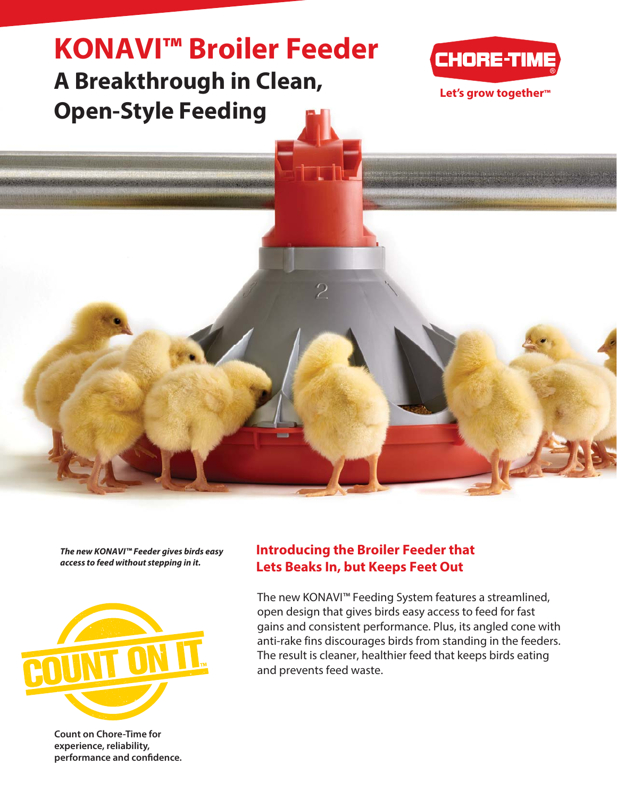

**The new KONAVI™ Feeder gives birds easy access to feed without stepping in it.**



**Count on Chore-Time for experience, reliability, performance and confidence.**

#### **Introducing the Broiler Feeder that Lets Beaks In, but Keeps Feet Out**

The new KONAVI™ Feeding System features a streamlined, open design that gives birds easy access to feed for fast gains and consistent performance. Plus, its angled cone with anti-rake fins discourages birds from standing in the feeders. The result is cleaner, healthier feed that keeps birds eating and prevents feed waste.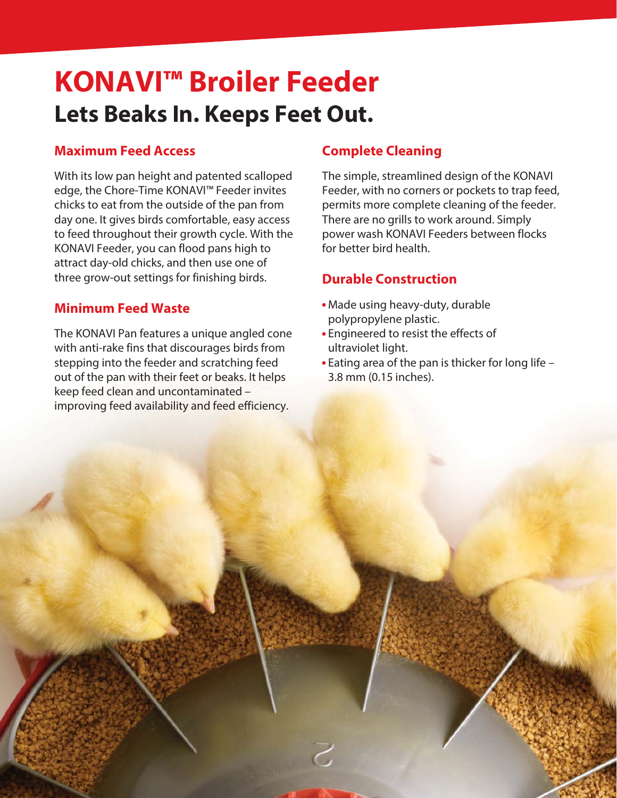# **KONAVI™ Broiler Feeder Lets Beaks In. Keeps Feet Out.**

#### **Maximum Feed Access**

With its low pan height and patented scalloped edge, the Chore-Time KONAVI™ Feeder invites chicks to eat from the outside of the pan from day one. It gives birds comfortable, easy access to feed throughout their growth cycle. With the KONAVI Feeder, you can flood pans high to attract day-old chicks, and then use one of three grow-out settings for finishing birds.

#### **Minimum Feed Waste**

The KONAVI Pan features a unique angled cone with anti-rake fins that discourages birds from stepping into the feeder and scratching feed out of the pan with their feet or beaks. It helps keep feed clean and uncontaminated – improving feed availability and feed efficiency.

### **Complete Cleaning**

The simple, streamlined design of the KONAVI Feeder, with no corners or pockets to trap feed, permits more complete cleaning of the feeder. There are no grills to work around. Simply power wash KONAVI Feeders between flocks for better bird health.

## **Durable Construction**

- Made using heavy-duty, durable polypropylene plastic.
- Engineered to resist the effects of ultraviolet light.
- Eating area of the pan is thicker for long life 3.8 mm (0.15 inches).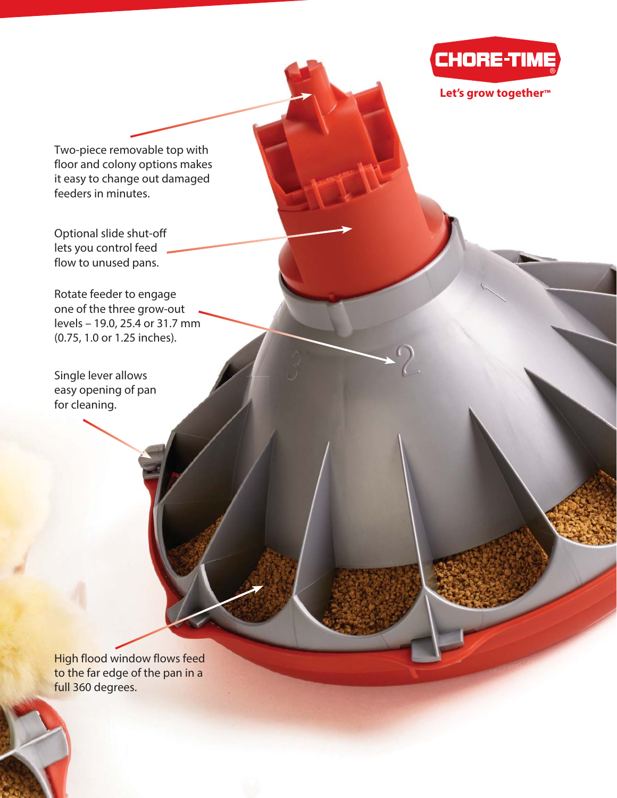

**Let's grow together™**

Two-piece removable top with floor and colony options makes it easy to change out damaged feeders in minutes.

Optional slide shut-off lets you control feed flow to unused pans.

Rotate feeder to engage one of the three grow-out levels – 19.0, 25.4 or 31.7 mm (0.75, 1.0 or 1.25 inches).

Single lever allows easy opening of pan for cleaning.

High flood window flows feed to the far edge of the pan in a full 360 degrees.